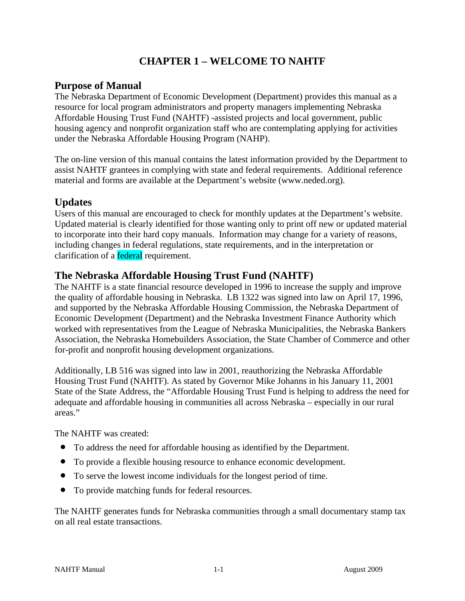# **CHAPTER 1 – WELCOME TO NAHTF**

#### **Purpose of Manual**

The Nebraska Department of Economic Development (Department) provides this manual as a resource for local program administrators and property managers implementing Nebraska Affordable Housing Trust Fund (NAHTF) -assisted projects and local government, public housing agency and nonprofit organization staff who are contemplating applying for activities under the Nebraska Affordable Housing Program (NAHP).

The on-line version of this manual contains the latest information provided by the Department to assist NAHTF grantees in complying with state and federal requirements. Additional reference material and forms are available at the Department's website (www.neded.org).

#### **Updates**

Users of this manual are encouraged to check for monthly updates at the Department's website. Updated material is clearly identified for those wanting only to print off new or updated material to incorporate into their hard copy manuals. Information may change for a variety of reasons, including changes in federal regulations, state requirements, and in the interpretation or clarification of a **federal** requirement.

#### **The Nebraska Affordable Housing Trust Fund (NAHTF)**

The NAHTF is a state financial resource developed in 1996 to increase the supply and improve the quality of affordable housing in Nebraska. LB 1322 was signed into law on April 17, 1996, and supported by the Nebraska Affordable Housing Commission, the Nebraska Department of Economic Development (Department) and the Nebraska Investment Finance Authority which worked with representatives from the League of Nebraska Municipalities, the Nebraska Bankers Association, the Nebraska Homebuilders Association, the State Chamber of Commerce and other for-profit and nonprofit housing development organizations.

Additionally, LB 516 was signed into law in 2001, reauthorizing the Nebraska Affordable Housing Trust Fund (NAHTF). As stated by Governor Mike Johanns in his January 11, 2001 State of the State Address, the "Affordable Housing Trust Fund is helping to address the need for adequate and affordable housing in communities all across Nebraska – especially in our rural areas."

The NAHTF was created:

- To address the need for affordable housing as identified by the Department.
- To provide a flexible housing resource to enhance economic development.
- To serve the lowest income individuals for the longest period of time.
- To provide matching funds for federal resources.

The NAHTF generates funds for Nebraska communities through a small documentary stamp tax on all real estate transactions.